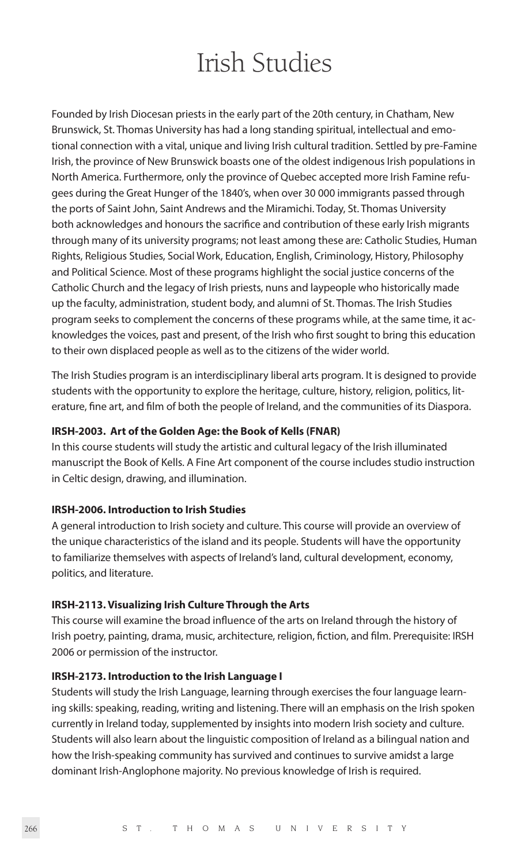# Irish Studies

Founded by Irish Diocesan priests in the early part of the 20th century, in Chatham, New Brunswick, St. Thomas University has had a long standing spiritual, intellectual and emotional connection with a vital, unique and living Irish cultural tradition. Settled by pre-Famine Irish, the province of New Brunswick boasts one of the oldest indigenous Irish populations in North America. Furthermore, only the province of Quebec accepted more Irish Famine refugees during the Great Hunger of the 1840's, when over 30 000 immigrants passed through the ports of Saint John, Saint Andrews and the Miramichi. Today, St. Thomas University both acknowledges and honours the sacrifice and contribution of these early Irish migrants through many of its university programs; not least among these are: Catholic Studies, Human Rights, Religious Studies, Social Work, Education, English, Criminology, History, Philosophy and Political Science. Most of these programs highlight the social justice concerns of the Catholic Church and the legacy of Irish priests, nuns and laypeople who historically made up the faculty, administration, student body, and alumni of St. Thomas. The Irish Studies program seeks to complement the concerns of these programs while, at the same time, it acknowledges the voices, past and present, of the Irish who first sought to bring this education to their own displaced people as well as to the citizens of the wider world.

The Irish Studies program is an interdisciplinary liberal arts program. It is designed to provide students with the opportunity to explore the heritage, culture, history, religion, politics, literature, fine art, and film of both the people of Ireland, and the communities of its Diaspora.

### **IRSH-2003. Art of the Golden Age: the Book of Kells (FNAR)**

In this course students will study the artistic and cultural legacy of the Irish illuminated manuscript the Book of Kells. A Fine Art component of the course includes studio instruction in Celtic design, drawing, and illumination.

#### **IRSH-2006. Introduction to Irish Studies**

A general introduction to Irish society and culture. This course will provide an overview of the unique characteristics of the island and its people. Students will have the opportunity to familiarize themselves with aspects of Ireland's land, cultural development, economy, politics, and literature.

#### **IRSH-2113. Visualizing Irish Culture Through the Arts**

This course will examine the broad influence of the arts on Ireland through the history of Irish poetry, painting, drama, music, architecture, religion, fiction, and film. Prerequisite: IRSH 2006 or permission of the instructor.

#### **IRSH-2173. Introduction to the Irish Language I**

Students will study the Irish Language, learning through exercises the four language learning skills: speaking, reading, writing and listening. There will an emphasis on the Irish spoken currently in Ireland today, supplemented by insights into modern Irish society and culture. Students will also learn about the linguistic composition of Ireland as a bilingual nation and how the Irish-speaking community has survived and continues to survive amidst a large dominant Irish-Anglophone majority. No previous knowledge of Irish is required.